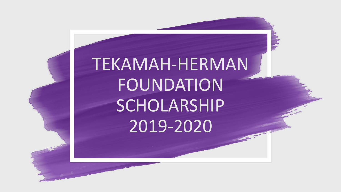# TEKAMAH-HERMAN FOUNDATION SCHOLARSHIP 2019-2020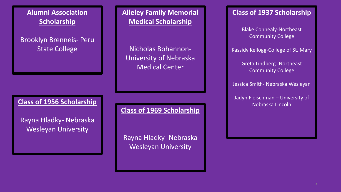

### Brooklyn Brenneis- Peru State College

**Alleley Family Memorial Medical Scholarship**

Nicholas Bohannon-University of Nebraska Medical Center

#### Nebraska Lincoln **Class of 1956 Scholarship**

Rayna Hladky- Nebraska Wesleyan University

**Class of 1969 Scholarship**

Rayna Hladky- Nebraska Wesleyan University

#### **Class of 1937 Scholarship**

Blake Connealy-Northeast Community College

Kassidy Kellogg-College of St. Mary

Greta Lindberg- Northeast **Community College** 

Jessica Smith- Nebraska Wesleyan

Jadyn Fleischman – University of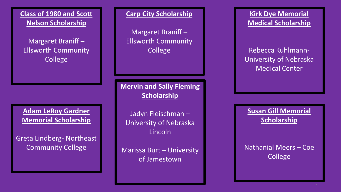**Class of 1980 and Scott Nelson Scholarship**

Margaret Braniff – Ellsworth Community **College** 

**Adam LeRoy Gardner Memorial Scholarship**

Greta Lindberg- Northeast Community College

**Carp City Scholarship**

Margaret Braniff – Ellsworth Community College

**Mervin and Sally Fleming Scholarship**

Jadyn Fleischman – University of Nebraska Lincoln

Marissa Burt – University of Jamestown

**Kirk Dye Memorial Medical Scholarship**

Rebecca Kuhlmann-University of Nebraska Medical Center

**Susan Gill Memorial Scholarship**

Nathanial Meers – Coe College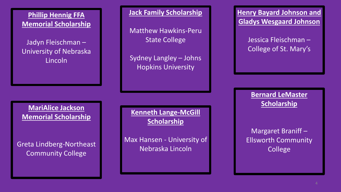**Phillip Hennig FFA Memorial Scholarship**

Jadyn Fleischman – University of Nebraska Lincoln

**Jack Family Scholarship**

Matthew Hawkins-Peru State College

Sydney Langley – Johns Hopkins University

**Henry Bayard Johnson and Gladys Wesgaard Johnson**

> Jessica Fleischman – College of St. Mary's

**Bernard LeMaster Scholarship**

Margaret Braniff – Ellsworth Community College

**MariAlice Jackson Memorial Scholarship**

Greta Lindberg-Northeast Community College

**Kenneth Lange-McGill Scholarship**

Max Hansen - University of Nebraska Lincoln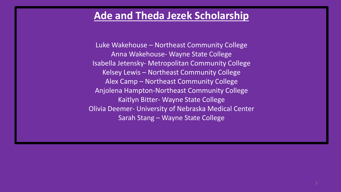### **Ade and Theda Jezek Scholarship**

Luke Wakehouse – Northeast Community College Anna Wakehouse- Wayne State College Isabella Jetensky- Metropolitan Community College Kelsey Lewis – Northeast Community College Alex Camp – Northeast Community College Anjolena Hampton-Northeast Community College Kaitlyn Bitter- Wayne State College Olivia Deemer- University of Nebraska Medical Center Sarah Stang – Wayne State College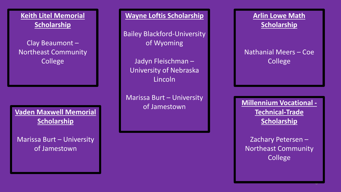**Keith Litel Memorial Scholarship**

Clay Beaumont – Northeast Community **College** 

**Vaden Maxwell Memorial Scholarship**

Marissa Burt – University of Jamestown

**Wayne Loftis Scholarship**

Bailey Blackford-University of Wyoming

Jadyn Fleischman – University of Nebraska Lincoln

Marissa Burt – University of Jamestown

**Arlin Lowe Math Scholarship**

Nathanial Meers – Coe College

**Millennium Vocational - Technical-Trade Scholarship**

Zachary Petersen – Northeast Community College

v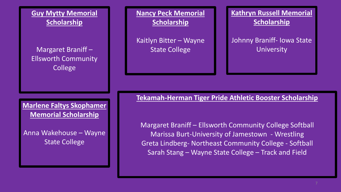**Guy Mytty Memorial Scholarship**

Margaret Braniff – Ellsworth Community College

**Marlene Faltys Skophamer Memorial Scholarship**

Anna Wakehouse – Wayne State College

**Nancy Peck Memorial Scholarship**

Kaitlyn Bitter – Wayne State College

**Kathryn Russell Memorial Scholarship**

Johnny Braniff- Iowa State University

**Tekamah-Herman Tiger Pride Athletic Booster Scholarship**

Margaret Braniff – Ellsworth Community College Softball Marissa Burt-University of Jamestown - Wrestling Greta Lindberg- Northeast Community College - Softball Sarah Stang – Wayne State College – Track and Field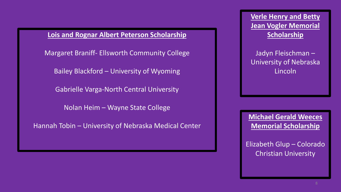**Lois and Rognar Albert Peterson Scholarship**

Margaret Braniff- Ellsworth Community College

Bailey Blackford – University of Wyoming

Gabrielle Varga-North Central University

Nolan Heim – Wayne State College

Hannah Tobin – University of Nebraska Medical Center

**Verle Henry and Betty Jean Vogler Memorial Scholarship**

Jadyn Fleischman – University of Nebraska Lincoln

**Michael Gerald Weeces Memorial Scholarship**

Elizabeth Glup – Colorado Christian University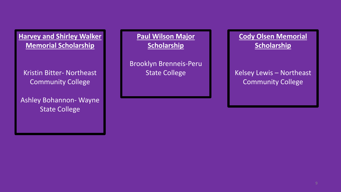**Harvey and Shirley Walker Memorial Scholarship**

Kristin Bitter- Northeast Community College

Ashley Bohannon- Wayne **State College** 

**Paul Wilson Major Scholarship**

Brooklyn Brenneis-Peru State College

### **Cody Olsen Memorial Scholarship**

Kelsey Lewis – Northeast Community College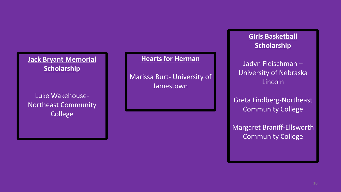### **Jack Bryant Memorial Scholarship**

Luke Wakehouse-Northeast Community College

#### **Hearts for Herman**

Marissa Burt- University of Jamestown

### **Girls Basketball Scholarship**

Jadyn Fleischman – University of Nebraska Lincoln

Greta Lindberg-Northeast Community College

Margaret Braniff-Ellsworth Community College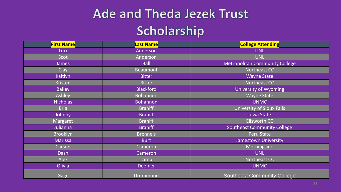## **Ade and Theda Jezek Trust** Scholarship

| <b>First Name</b> | <b>Last Name</b> | <b>College Attending</b>              |
|-------------------|------------------|---------------------------------------|
| Luci              | Anderson         | <b>UNL</b>                            |
| Scot              | Anderson         | <b>UNL</b>                            |
| <b>James</b>      | <b>Ball</b>      | <b>Metropolitan Community College</b> |
| Clay              | <b>Beaumont</b>  | Northeast CC                          |
| Kaitlyn           | <b>Bitter</b>    | <b>Wayne State</b>                    |
| <b>Kristen</b>    | <b>Bitter</b>    | Northeast CC                          |
| <b>Bailey</b>     | <b>Blackford</b> | University of Wyoming                 |
| Ashley            | <b>Bohannon</b>  | <b>Wayne State</b>                    |
| <b>Nicholas</b>   | <b>Bohannon</b>  | <b>UNMC</b>                           |
| <b>Bria</b>       | <b>Braniff</b>   | <b>University of Sioux Falls</b>      |
| Johnny            | <b>Braniff</b>   | <b>Iowa State</b>                     |
| Margaret          | <b>Braniff</b>   | <b>Ellsworth CC</b>                   |
| Julianna          | <b>Braniff</b>   | <b>Southeast Community College</b>    |
| <b>Brooklyn</b>   | <b>Brenneis</b>  | Peru State                            |
| Marissa           | <b>Burt</b>      | Jamestown University                  |
| Carson            | Cameron          | Morningside                           |
| Dash              | Cameron          | <b>UNL</b>                            |
| Alex              | camp             | Northeast CC                          |
| Olivia            | <b>Deemer</b>    | <b>UNMC</b>                           |
| Gage              | <b>Drummond</b>  | <b>Southeast Community College</b>    |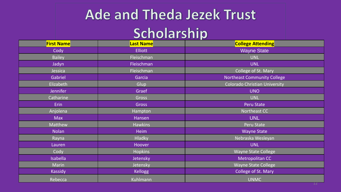# **Ade and Theda Jezek Trust** Scholarship

| <b>First Name</b> | <b>Last Name</b> | <b>College Attending</b>             |
|-------------------|------------------|--------------------------------------|
| Cody              | <b>Elliott</b>   | <b>Wayne State</b>                   |
| <b>Bailey</b>     | Fleischman       | <b>UNL</b>                           |
| Jadyn             | Fleischman       | <b>UNL</b>                           |
| Jessica           | Fleischman       | College of St. Mary                  |
| Gabriel           | Garcia           | <b>Northeast Community College</b>   |
| Elizabeth         | Glup             | <b>Colorado Christian University</b> |
| <b>Jennifer</b>   | Graef            | <b>UNO</b>                           |
| Catharine         | Gross            | <b>UNL</b>                           |
| Erin              | <b>Gross</b>     | Peru State                           |
| Anjolena          | Hampton          | Northeast CC                         |
| <b>Max</b>        | Hansen           | <b>UNL</b>                           |
| Matthew           | <b>Hawkins</b>   | Peru State                           |
| <b>Nolan</b>      | <b>Heim</b>      | <b>Wayne State</b>                   |
| Rayna             | <b>Hladky</b>    | Nebraska Wesleyan                    |
| Lauren            | Hoover           | <b>UNL</b>                           |
| Cody              | <b>Hopkins</b>   | <b>Wayne State College</b>           |
| <b>Isabella</b>   | Jetensky         | Metropolitan CC                      |
| Marin             | Jetensky         | <b>Wayne State College</b>           |
| <b>Kassidy</b>    | <b>Kellogg</b>   | <b>College of St. Mary</b>           |
| Rebecca           | Kuhlmann         | <b>UNMC</b>                          |